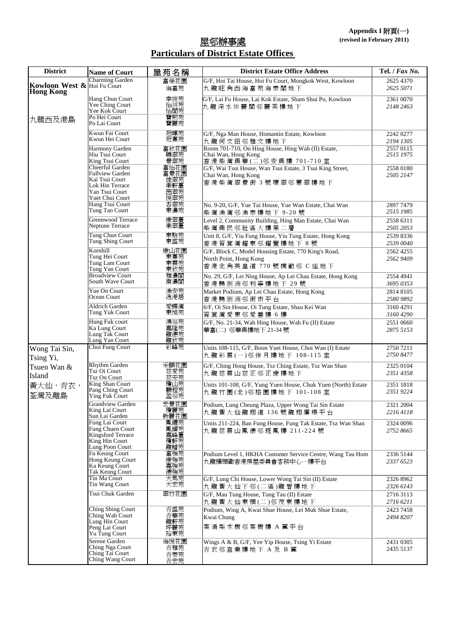## 屋邨辦事處 **Particulars of District Estate Offices**

| <b>District</b>                           | <b>Name of Court</b>                                                                                                | 屋苑名稱                                     | <b>District Estate Office Address</b>                                                                   | Tel. / Fax No.         |
|-------------------------------------------|---------------------------------------------------------------------------------------------------------------------|------------------------------------------|---------------------------------------------------------------------------------------------------------|------------------------|
| Kowloon West & Hoi Fu Court<br>Hong Kong  | Charming Garden                                                                                                     | 富榮花園<br>海富苑                              | G/F, Hoi Tai House, Hoi Fu Court, Mongkok West, Kowloon<br>九龍旺角西海富苑海泰閣地下                                | 2625 4370<br>2625 5071 |
|                                           | Hang Chun Court<br>Yee Ching Court<br>Yee Kok Court                                                                 | 幸俊苑<br>怡靖苑<br>怡閣苑                        | G/F, Lai Fu House, Lai Kok Estate, Sham Shui Po, Kowloon<br>九龍深水埗麗閣邨麗芙樓地下                               | 2361 0070<br>2148 2463 |
| 九龍西及港島                                    | Po Hei Court<br>Po Lai Court                                                                                        | 寶熙苑<br>寶麗苑                               |                                                                                                         |                        |
|                                           | Kwun Fai Court<br>Kwun Hei Court                                                                                    | 冠暉苑<br>冠熹苑                               | G/F, Nga Man House, Homantin Estate, Kowloon<br>九龍何文田邨雅文樓地下                                             | 2242 0277<br>2194 1305 |
|                                           | Harmony Garden<br>Hiu Tsui Court<br>King Tsui Court                                                                 | 富欣花園<br>曉翠苑<br>景翠苑                       | Room 701-710, On Hing House, Hing Wah (II) Estate,<br>Chai Wan, Hong Kong<br>香港柴灣興華(二)邨安興樓 701-710 室    | 2557 0115<br>2515 1975 |
|                                           | Cheerful Garden<br><b>Fullview Garden</b><br>Kai Tsui Court<br>Lok Hin Terrace<br>Yan Tsui Court<br>Yuet Chui Court | 富怡花園<br>富景花園<br>佳翠苑<br>樂軒臺<br>茵翠苑<br>悅翠苑 | G/F, Wai Tsui House, Wan Tsui Estate, 3 Tsui King Street,<br>Chai Wan, Hong Kong<br>香港柴灣翠景街 3 號環翠邨蕙翠樓地下 | 2558 0180<br>2505 2147 |
|                                           | Hang Tsui Court<br>Tung Tao Court                                                                                   | 杏翠苑<br>東濤苑                               | No. 9-20, G/F, Yue Tai House, Yue Wan Estate, Chai Wan<br>柴灣漁灣邨漁泰樓地下 9-20號                              | 2897 7479<br>2515 1985 |
|                                           | <b>Greenwood Terrace</b><br>Neptune Terrace                                                                         | 康翠臺<br>樂翠臺                               | Level 2, Community Building, Hing Man Estate, Chai Wan<br>柴灣興民邨社區大樓第二層                                  | 2558 6311<br>2505 2053 |
|                                           | Tung Chun Court<br>Tung Shing Court                                                                                 | 東駿苑<br>東盛苑                               | Unit 8, G/F, Yiu Fung House, Yiu Tung Estate, Hong Kong<br>香港筲箕灣耀東邨耀豐樓地下8號                              | 2539 8336<br>2539 0040 |
|                                           | Kornhill<br>Tung Hei Court<br>Tung Lam Court<br>Tung Yan Court                                                      | 康山花園<br>東熹苑<br>東霖苑                       | G/F, Block C, Model Housing Estate, 770 King's Road,<br>North Point, Hong Kong<br>香港北角英皇道 770號模範邨 C座地下  | 2562 4255<br>2562 9409 |
|                                           | <b>Broadview Court</b><br>South Wave Court                                                                          | 雅濤閣<br>南濤閣                               | No. 29, G/F, Lei Ning House, Ap Lei Chau Estate, Hong Kong<br>香港鴨脷洲邨利寧樓地下 29號                           | 2554 4941<br>3695 0353 |
|                                           | Yue On Court<br>Ocean Court                                                                                         | 漁安苑<br>逸港居                               | Market Podium, Ap Lei Chau Estate, Hong Kong<br>香港鴨脷洲邨街市平台                                              | 2814 8105<br>2580 9892 |
|                                           | Aldrich Garden<br>Tung Yuk Court                                                                                    | 愛蝶灣<br>東旭苑                               | 6/F, Oi Sin House, Oi Tung Estate, Shau Kei Wan<br>筲箕灣愛東邨愛善樓6樓                                          | 3160 4291<br>3160 4290 |
|                                           | Hung Fuk court<br>Ka Lung Court<br>Lung Tak Court<br>Lung Yan Court                                                 | 鴻福苑<br>嘉隆苑<br>龍德苑<br>龍欣苑                 | G/F, No. 21-34, Wah Hing House, Wah Fu (II) Estate<br>華富(二) 邨華興樓地下 21-34號                               | 2551 0660<br>2875 5153 |
| Wong Tai Sin,<br>Tsing Yi,                | Choi Fung Court                                                                                                     | 彩峰苑                                      | Units 108-115, G/F, Boon Yuet House, Choi Wan (I) Estate<br>九龍彩雲(一)邨伴月樓地下 108-115 室                     | 2750 7211<br>2750 8477 |
| Tsuen Wan &<br>Island<br>黃大仙,青衣,<br>荃灣及離島 | Rhythm Garden<br>Tsz Oi Court<br><b>Tsz On Court</b>                                                                | 采頤花園<br>慈愛苑慈安苑                           | G/F, Ching Hong House, Tsz Ching Estate, Tsz Wan Shan<br>九龍慈雲山慈正邨正康樓地下                                  | 2325 0104<br>2351 4358 |
|                                           | King Shan Court<br>Pang Ching Court<br>Ying Fuk Court                                                               | 瓊山苑<br>鵬程苑<br>盈福苑                        | Units 101-108, G/F, Yung Yuen House, Chuk Yuen (North) Estate<br>九龍竹園(北)邨榕園樓地下 101-108室                 | 2351 1818<br>2351 9224 |
|                                           | <b>Grandview Garden</b><br>King Lai Court<br>Sun Lai Garden                                                         | 宏景花園<br>瓊麗苑<br>新麗花園                      | Podium, Lung Cheung Plaza, Upper Wong Tai Sin Estate<br>九龍黃大仙龍翔道 136號龍翔廣場平台                             | 2321 2004<br>2216 4118 |
|                                           | Fung Lai Court<br>Fung Chuen Court<br>Kingsford Terrace<br>King Hin Court<br>Lung Poon Court                        | 鳳禮苑<br>鳳鑽苑<br>嘉峰臺<br>瓊軒苑<br>龍蟠苑          | Units 211-224, Ban Fung House, Fung Tak Estate, Tsz Wan Shan<br>九龍慈雲山鳳德邨斑鳳樓 211-224號                    | 2324 0096<br>2752 8665 |
|                                           | Fu Keung Court<br>Hong Keung Court<br>Ka Keung Court<br>Tak Keung Court                                             | 富強苑<br>康強強強                              | Podium Level 1, HKHA Customer Service Centre, Wang Tau Hom<br>九龍橫頭磡香港房屋委員會客務中心一樓平台                      | 2336 5144<br>2337 6523 |
|                                           | Tin Ma Court<br>Tin Wang Court                                                                                      | 天馬苑<br>天宏苑                               | G/F, Lung Chi House, Lower Wong Tai Sin (II) Estate<br>九龍黃大仙下邨(二區)龍智樓地下                                 | 2326 8962<br>2326 6143 |
|                                           | Tsui Chuk Garden                                                                                                    | 翠竹花園                                     | G/F, Mau Tung House, Tung Tau (II) Estate<br>九龍黃大仙東頭(二)邨茂東樓地下                                           | 2716 3113<br>2716 6211 |
|                                           | Ching Shing Court<br>Ching Wah Court<br>Lung Hin Court<br>Peng Lai Court<br>Yu Tung Court                           | 青盛苑<br>青華苑<br>龍軒苑<br>坪麗苑<br>裕東苑          | Podium, Wing A, Kwai Shue House, Lei Muk Shue Estate,<br>Kwai Chung<br>葵 涌 梨 木 樹 邨 葵 樹 樓 A 翼 平 台        | 2423 7458<br>2494 8207 |
|                                           | Serene Garden<br>Ching Nga Court<br>Ching Tai Court<br>Ching Wang Court                                             | 海悅花園<br>青雅苑<br>青泰苑<br>青宏苑                | Wings A & B, G/F, Yee Yip House, Tsing Yi Estate<br>青衣邨宜業樓地下 A 及 B 翼                                    | 2431 0305<br>2435 5137 |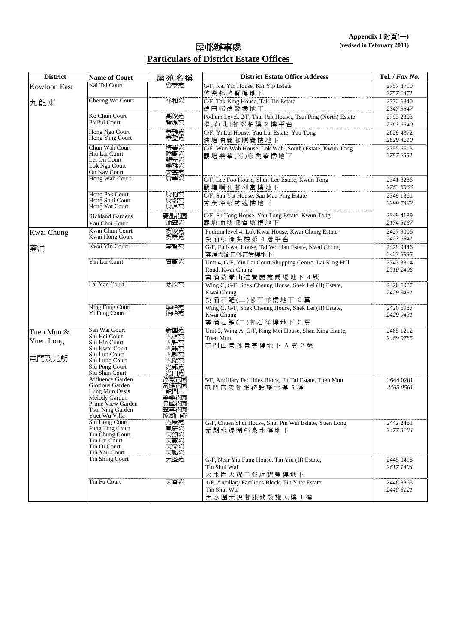## 屋邨辦事處 **Particulars of District Estate Offices**

| <b>District</b>     | <b>Name of Court</b>              | 屋苑名稱                 | <b>District Estate Office Address</b>                                          | Tel. / Fax No.         |
|---------------------|-----------------------------------|----------------------|--------------------------------------------------------------------------------|------------------------|
| <b>Kowloon East</b> | Kai Tai Court                     | 啓泰苑                  | G/F, Kai Yin House, Kai Yip Estate                                             | 2757 3710              |
|                     |                                   |                      | 啓業邨啓賢樓地下                                                                       | 2757 2471              |
| 九龍東                 | Cheung Wo Court                   | 祥和苑                  | G/F, Tak King House, Tak Tin Estate                                            | 2772 6840              |
|                     | Ko Chun Court                     |                      | 德田邨德敬樓地下                                                                       | 2347 3847              |
|                     | Po Pui Court                      | 高俊苑<br>寶珮苑           | Podium Level, 2/F, Tsui Pak House., Tsui Ping (North) Estate<br>翠屏(北)邨翠柏樓 2樓平台 | 2793 2303<br>2763 6540 |
|                     | Hong Nga Court                    |                      | G/F, Yi Lai House, Yau Lai Estate, Yau Tong                                    | 2629 4372              |
|                     | Hong Ying Court                   | 康雅苑                  | 油塘油麗邨頤麗樓地下                                                                     | 2629 4210              |
|                     | Chun Wah Court                    |                      | G/F, Wun Wah House, Lok Wah (South) Estate, Kwun Tong                          | 2755 6613              |
|                     | Hiu Lai Court                     | 振華苑<br>曉麗苑           | 觀塘樂華(南)邨奐華樓地下                                                                  | 2757 2551              |
|                     | Lei On Court<br>Lok Nga Court     |                      |                                                                                |                        |
|                     | On Kay Court                      | 經安雅苑<br>樂安雅苑         |                                                                                |                        |
|                     | Hong Wah Court                    | 康華苑                  | G/F, Lee Foo House, Shun Lee Estate, Kwun Tong                                 | 2341 8286              |
|                     |                                   |                      | 觀塘順利邨利富樓地下                                                                     | 2763 6066              |
|                     | Hong Pak Court<br>Hong Shui Court | 康柏苑                  | G/F, Sau Yat House, Sau Mau Ping Estate                                        | 2349 1361              |
|                     | Hong Yat Court                    | 康瑞苑<br>康逸苑           | 秀茂坪邨秀逸樓地下                                                                      | 2389 7462              |
|                     | <b>Richland Gardens</b>           | 麗晶花園                 | G/F, Fu Tong House, Yau Tong Estate, Kwun Tong                                 | 2349 4189              |
|                     | Yau Chui Court                    | 油翠苑                  | 觀塘油塘邨富塘樓地下                                                                     | 2174 5187              |
| Kwai Chung          | Kwai Chun Court                   | 葵俊苑                  | Podium level 4, Luk Kwai House, Kwai Chung Estate                              | 2427 9006              |
|                     | Kwai Hong Court                   | 葵康苑                  | 葵涌邨綠葵樓第4層平台                                                                    | 2423 6841              |
| 葵涌                  | Kwai Yin Court                    | 葵賢苑                  | G/F, Fu Kwai House, Tai Wo Hau Estate, Kwai Chung                              | 2429 9446              |
|                     | Yin Lai Court                     | 賢麗苑                  | 葵涌大窩口邨富貴樓地下                                                                    | 2423 6835              |
|                     |                                   |                      | Unit 4, G/F, Yin Lai Court Shopping Centre, Lai King Hill<br>Road, Kwai Chung  | 2743 3814<br>2310 2406 |
|                     |                                   |                      | 葵涌荔景山道賢麗苑商場地下 4號                                                               |                        |
|                     | Lai Yan Court                     | 荔欣苑                  | Wing C, G/F, Shek Cheung House, Shek Lei (II) Estate,                          | 2420 6987              |
|                     |                                   |                      | Kwai Chung                                                                     | 2429 9431              |
|                     |                                   |                      | 葵涌石籬(二)邨石祥樓地下 C 翼                                                              |                        |
|                     | Ning Fung Court<br>Yi Fung Court  | 寧峰苑<br>怡峰苑           | Wing C, G/F, Shek Cheung House, Shek Lei (II) Estate,                          | 2420 6987              |
|                     |                                   |                      | Kwai Chung                                                                     | 2429 9431              |
|                     | San Wai Court                     |                      | 葵涌石籬(二)邨石祥樓地下 C 翼<br>Unit 2, Wing A, G/F, King Mei House, Shan King Estate,    | 2465 1212              |
| Tuen Mun &          | Siu Hei Court                     | 新圍苑<br>兆禧苑           | Tuen Mun                                                                       | 2469 9785              |
| Yuen Long           | Siu Hin Court                     | 兆軒苑                  | 屯門山景邨景美樓地下 A 翼 2 號                                                             |                        |
|                     | Siu Kwai Court<br>Siu Lun Court   | 兆麟苑                  |                                                                                |                        |
| 屯門及元朗               | Siu Lung Court                    | 兆隆苑<br>兆邦苑           |                                                                                |                        |
|                     | Siu Pong Court<br>Siu Shan Court  | 兆山苑                  |                                                                                |                        |
|                     | <b>Affluence Garden</b>           | 澤豐花園                 | 5/F, Ancillary Facilities Block, Fu Tai Estate, Tuen Mun                       | 2644 0201              |
|                     | Glorious Garden                   |                      | 屯門富泰邨服務設施大樓 5 樓                                                                | 2465 0561              |
|                     | Lung Mun Oasis<br>Melody Garden   | 龍門居<br>美樂花園          |                                                                                |                        |
|                     | Prime View Garden                 | 景峰花園                 |                                                                                |                        |
|                     | Tsui Ning Garden<br>Yuet Wu Villa | 翠寧花園<br>悅湖山莊         |                                                                                |                        |
|                     | Siu Hong Court                    | 兆康苑                  | G/F, Chuen Shui House, Shui Pin Wai Estate, Yuen Long                          | 2442 2461              |
|                     | Fung Ting Court                   |                      | 元朗水邊圍邨泉水樓地下                                                                    | 2477 3284              |
|                     | Tin Chung Court<br>Tin Lai Court  |                      |                                                                                |                        |
|                     | Tin Oi Court                      | 《天頌苑苑》<br>天天天天<br>天天 |                                                                                |                        |
|                     | Tin Yau Court                     | 天祐苑                  |                                                                                |                        |
|                     | Tin Shing Court                   | 天盛苑                  | G/F, Near Yiu Fung House, Tin Yiu (II) Estate,<br>Tin Shui Wai                 | 2445 0418<br>2617 1404 |
|                     |                                   |                      | 天水圍天耀二邨近耀豐樓地下                                                                  |                        |
|                     | Tin Fu Court                      | 天富苑                  | 1/F, Ancillary Facilities Block, Tin Yuet Estate,                              | 2448 8863              |
|                     |                                   |                      | Tin Shui Wai                                                                   | 2448 8121              |
|                     |                                   |                      | 天水圍天悅邨服務設施大樓 1 樓                                                               |                        |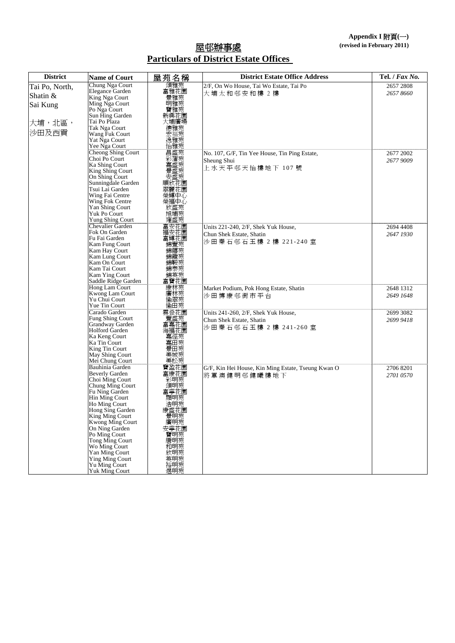## 屋邨辦事處 **Particulars of District Estate Offices**

| <b>District</b> | <b>Name of Court</b>                      | 屋苑名稱                 | <b>District Estate Office Address</b>              | Tel. / Fax No. |
|-----------------|-------------------------------------------|----------------------|----------------------------------------------------|----------------|
| Tai Po, North,  | Chung Nga Court                           | 頌雅苑                  | 2/F, On Wo House, Tai Wo Estate, Tai Po            | 2657 2808      |
| Shatin &        | Elegance Garden<br>King Nga Court         | 富雅花園<br>景雅苑          | 大埔太和邨安和樓 2樓                                        | 2657 8660      |
| Sai Kung        | Ming Nga Court                            | 明雅苑                  |                                                    |                |
|                 | Po Nga Court                              | 寶雅苑                  |                                                    |                |
|                 | Sun Hing Garden                           | 新興花園                 |                                                    |                |
| 大埔,北區,          | Tai Po Plaza                              | 大埔廣場                 |                                                    |                |
| 沙田及西貢           | Tak Nga Court                             | 德雅苑                  |                                                    |                |
|                 | Wang Fuk Court<br>Yat Nga Court           | 宏福苑<br>逸雅苑           |                                                    |                |
|                 | Yee Nga Court                             | 怡雅苑                  |                                                    |                |
|                 | Cheong Shing Court                        | 昌盛苑                  | No. 107, G/F, Tin Yee House, Tin Ping Estate,      | 2677 2002      |
|                 | Choi Po Court                             | 彩嘉盛盛                 | Sheung Shui                                        | 2677 9009      |
|                 | Ka Shing Court                            |                      | 上水天平邨天怡樓地下 107號                                    |                |
|                 | King Shing Court<br>On Shing Court        |                      |                                                    |                |
|                 | Sunningdale Garden                        | 安盛苑<br>順欣花園          |                                                    |                |
|                 | Tsui Lai Garden                           | 翠麗花園                 |                                                    |                |
|                 | Wing Fai Centre                           | 榮輝中心                 |                                                    |                |
|                 | Wing Fok Centre                           | 榮福中心                 |                                                    |                |
|                 | Yan Shing Court<br>Yuk Po Court           | 欣盛苑                  |                                                    |                |
|                 | Yung Shing Court                          | 旭埔苑<br>雍盛苑           |                                                    |                |
|                 | <b>Chevalier Garden</b>                   | 富安花園                 | Units 221-240, 2/F, Shek Yuk House,                | 2694 4408      |
|                 | Fok On Garden                             | 福安花園                 | Chun Shek Estate, Shatin                           | 2647 1930      |
|                 | Fu Fai Garden                             | 富輝花園                 | 沙田秦石邨石玉樓 2樓 221-240室                               |                |
|                 | Kam Fung Court                            | 錦豐苑                  |                                                    |                |
|                 | Kam Hay Court<br>Kam Lung Court           | 錦禧苑<br>錦龍苑           |                                                    |                |
|                 | Kam On Court                              | 錦鞍苑                  |                                                    |                |
|                 | Kam Tai Court                             | 錦泰苑                  |                                                    |                |
|                 | Kam Ying Court                            | 錦英苑                  |                                                    |                |
|                 | Saddle Ridge Garden                       | 富寶花園                 |                                                    |                |
|                 | Hong Lam Court<br>Kwong Lam Court         | 康林苑苑<br> 黄林<br> 前    | Market Podium, Pok Hong Estate, Shatin             | 2648 1312      |
|                 | Yu Chui Court                             |                      | 沙田博康邨街市平台                                          | 2649 1648      |
|                 | Yue Tin Court                             |                      |                                                    |                |
|                 | Carado Garden                             | 雲豐盛花園<br>富盛苑園<br>富嘉花 | Units 241-260, 2/F, Shek Yuk House,                | 2699 3082      |
|                 | <b>Fung Shing Court</b>                   |                      | Chun Shek Estate, Shatin                           | 2699 9418      |
|                 | Grandway Garden<br>Holford Garden         | 海福花園                 | 沙田秦石邨石玉樓 2樓 241-260室                               |                |
|                 | Ka Keng Court                             | 嘉徑苑                  |                                                    |                |
|                 | Ka Tin Court                              | 嘉田苑                  |                                                    |                |
|                 | King Tin Court                            | 景田苑                  |                                                    |                |
|                 | May Shing Court                           | 美城苑                  |                                                    |                |
|                 | Mei Chung Court<br><b>Bauhinia Garden</b> | 美松苑                  |                                                    |                |
|                 | <b>Beverly Garden</b>                     | 寶盈花園                 | G/F, Kin Hei House, Kin Ming Estate, Tseung Kwan O | 2706 8201      |
|                 | Choi Ming Court                           | 彩明苑                  | 將軍澳健明邨健曦樓地下                                        | 2701 0570      |
|                 | Chung Ming Court                          | 頌明苑                  |                                                    |                |
|                 | Fu Ning Garden                            | 富寧花園                 |                                                    |                |
|                 | Hin Ming Court<br>Ho Ming Court           | 顯明苑                  |                                                    |                |
|                 | Hong Sing Garden                          | 浩明苑<br>康盛花園          |                                                    |                |
|                 | King Ming Court                           | 景明苑                  |                                                    |                |
|                 | Kwong Ming Court                          | 廣明苑<br>安寧花園          |                                                    |                |
|                 | On Ning Garden                            |                      |                                                    |                |
|                 | Po Ming Court<br>Tong Ming Court          | 寶明苑                  |                                                    |                |
|                 | Wo Ming Court                             | 唐明苑<br>和明苑           |                                                    |                |
|                 | Yan Ming Court                            | 欣明苑                  |                                                    |                |
|                 | <b>Ying Ming Court</b>                    | 英明苑                  |                                                    |                |
|                 | Yu Ming Court                             | 谷明苑<br>煜明苑           |                                                    |                |
|                 | <b>Yuk Ming Court</b>                     |                      |                                                    |                |